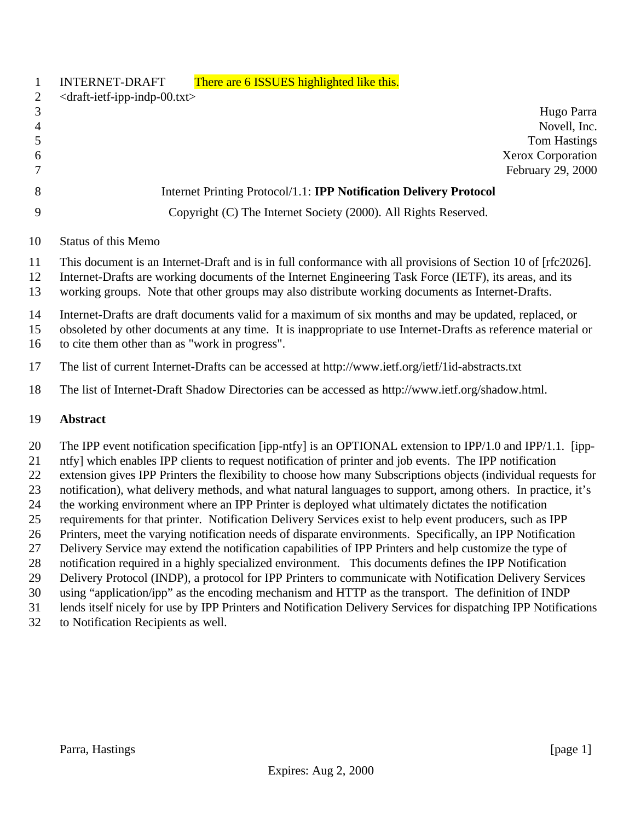|                | There are 6 ISSUES highlighted like this.<br><b>INTERNET-DRAFT</b>                                                                                                                                                                                                                                                           |
|----------------|------------------------------------------------------------------------------------------------------------------------------------------------------------------------------------------------------------------------------------------------------------------------------------------------------------------------------|
| 2              | $\langle$ draft-ietf-ipp-indp-00.txt>                                                                                                                                                                                                                                                                                        |
| 3              | Hugo Parra                                                                                                                                                                                                                                                                                                                   |
| 4              | Novell, Inc.                                                                                                                                                                                                                                                                                                                 |
|                | <b>Tom Hastings</b>                                                                                                                                                                                                                                                                                                          |
| 6              | <b>Xerox Corporation</b>                                                                                                                                                                                                                                                                                                     |
|                | February 29, 2000                                                                                                                                                                                                                                                                                                            |
| 8              | Internet Printing Protocol/1.1: <b>IPP Notification Delivery Protocol</b>                                                                                                                                                                                                                                                    |
| 9              | Copyright (C) The Internet Society (2000). All Rights Reserved.                                                                                                                                                                                                                                                              |
| 10             | <b>Status of this Memo</b>                                                                                                                                                                                                                                                                                                   |
| 11<br>12<br>13 | This document is an Internet-Draft and is in full conformance with all provisions of Section 10 of [rfc2026].<br>Internet-Drafts are working documents of the Internet Engineering Task Force (IETF), its areas, and its<br>working groups. Note that other groups may also distribute working documents as Internet-Drafts. |
|                |                                                                                                                                                                                                                                                                                                                              |

 Internet-Drafts are draft documents valid for a maximum of six months and may be updated, replaced, or obsoleted by other documents at any time. It is inappropriate to use Internet-Drafts as reference material or to cite them other than as "work in progress".

- The list of current Internet-Drafts can be accessed at http://www.ietf.org/ietf/1id-abstracts.txt
- The list of Internet-Draft Shadow Directories can be accessed as http://www.ietf.org/shadow.html.

#### **Abstract**

20 The IPP event notification specification [ipp-ntfy] is an OPTIONAL extension to IPP/1.0 and IPP/1.1. [ipp- ntfy] which enables IPP clients to request notification of printer and job events. The IPP notification extension gives IPP Printers the flexibility to choose how many Subscriptions objects (individual requests for notification), what delivery methods, and what natural languages to support, among others. In practice, it's the working environment where an IPP Printer is deployed what ultimately dictates the notification requirements for that printer. Notification Delivery Services exist to help event producers, such as IPP Printers, meet the varying notification needs of disparate environments. Specifically, an IPP Notification Delivery Service may extend the notification capabilities of IPP Printers and help customize the type of notification required in a highly specialized environment. This documents defines the IPP Notification Delivery Protocol (INDP), a protocol for IPP Printers to communicate with Notification Delivery Services using "application/ipp" as the encoding mechanism and HTTP as the transport. The definition of INDP lends itself nicely for use by IPP Printers and Notification Delivery Services for dispatching IPP Notifications

to Notification Recipients as well.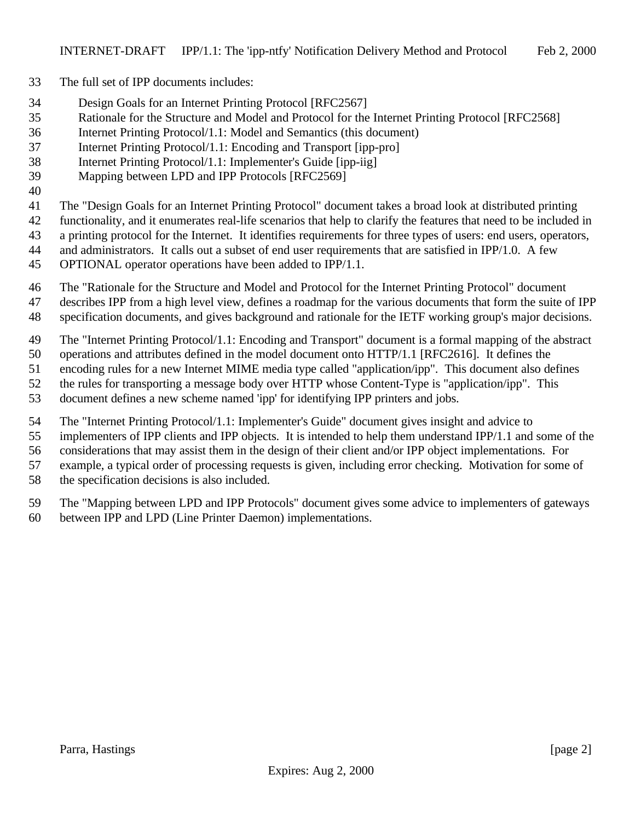- The full set of IPP documents includes:
- Design Goals for an Internet Printing Protocol [RFC2567]
- Rationale for the Structure and Model and Protocol for the Internet Printing Protocol [RFC2568]
- Internet Printing Protocol/1.1: Model and Semantics (this document)
- Internet Printing Protocol/1.1: Encoding and Transport [ipp-pro]
- Internet Printing Protocol/1.1: Implementer's Guide [ipp-iig]
- Mapping between LPD and IPP Protocols [RFC2569]
- 

The "Design Goals for an Internet Printing Protocol" document takes a broad look at distributed printing

- functionality, and it enumerates real-life scenarios that help to clarify the features that need to be included in
- a printing protocol for the Internet. It identifies requirements for three types of users: end users, operators,
- and administrators. It calls out a subset of end user requirements that are satisfied in IPP/1.0. A few
- OPTIONAL operator operations have been added to IPP/1.1.
- The "Rationale for the Structure and Model and Protocol for the Internet Printing Protocol" document
- describes IPP from a high level view, defines a roadmap for the various documents that form the suite of IPP
- specification documents, and gives background and rationale for the IETF working group's major decisions.
- The "Internet Printing Protocol/1.1: Encoding and Transport" document is a formal mapping of the abstract
- operations and attributes defined in the model document onto HTTP/1.1 [RFC2616]. It defines the
- encoding rules for a new Internet MIME media type called "application/ipp". This document also defines
- the rules for transporting a message body over HTTP whose Content-Type is "application/ipp". This
- document defines a new scheme named 'ipp' for identifying IPP printers and jobs.
- The "Internet Printing Protocol/1.1: Implementer's Guide" document gives insight and advice to
- implementers of IPP clients and IPP objects. It is intended to help them understand IPP/1.1 and some of the
- considerations that may assist them in the design of their client and/or IPP object implementations. For
- example, a typical order of processing requests is given, including error checking. Motivation for some of
- the specification decisions is also included.
- The "Mapping between LPD and IPP Protocols" document gives some advice to implementers of gateways between IPP and LPD (Line Printer Daemon) implementations.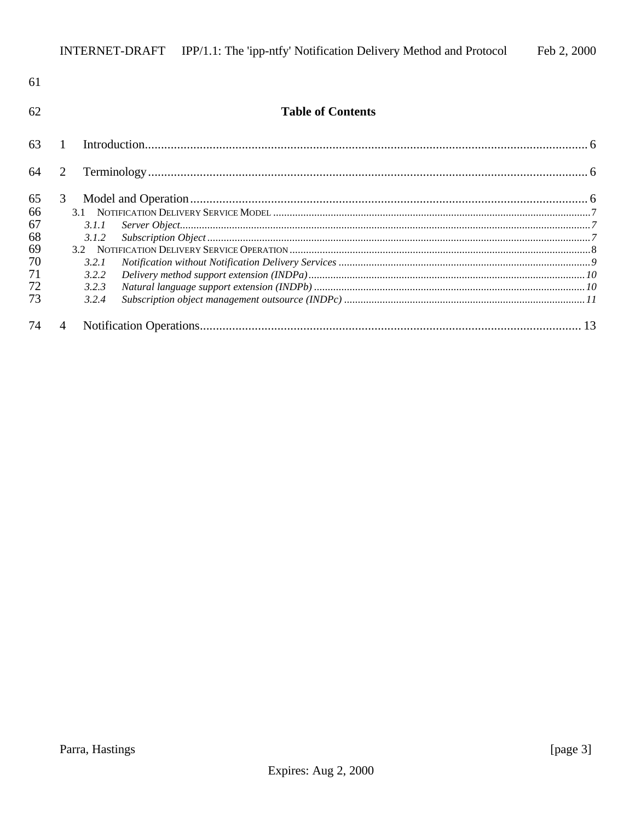| 61 |                          |  |
|----|--------------------------|--|
| 62 | <b>Table of Contents</b> |  |
| 63 |                          |  |
| 64 | 2                        |  |
| 65 | 3                        |  |
| 66 |                          |  |
| 67 | 3.1.1                    |  |
| 68 | 3.1.2                    |  |
| 69 |                          |  |
| 70 | 3.2.1                    |  |
| 71 | 3.2.2                    |  |
| 72 | 3.2.3                    |  |
| 73 | 3.2.4                    |  |
| 74 | 4                        |  |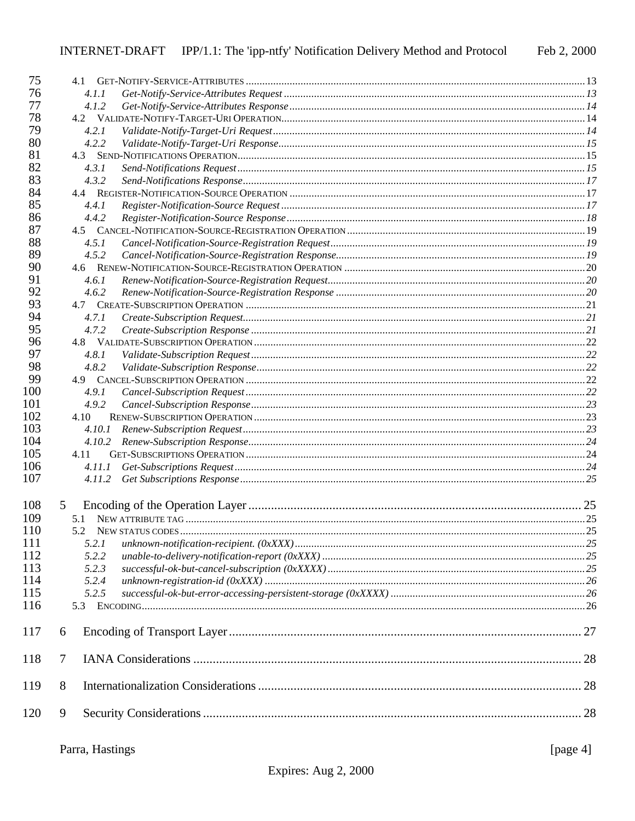| 75  |               |  |
|-----|---------------|--|
| 76  | 4.1.1         |  |
| 77  | 4.1.2         |  |
| 78  |               |  |
| 79  | 4.2.1         |  |
| 80  | 4.2.2         |  |
| 81  |               |  |
| 82  | 4.3.1         |  |
| 83  | 4.3.2         |  |
| 84  |               |  |
| 85  | 4.4.1         |  |
| 86  | 4.4.2         |  |
| 87  |               |  |
| 88  | 4.5.1         |  |
| 89  |               |  |
|     | 4.5.2         |  |
| 90  |               |  |
| 91  | 4.6.1         |  |
| 92  | 4.6.2         |  |
| 93  |               |  |
| 94  | 4.7.1         |  |
| 95  | 4.7.2         |  |
| 96  |               |  |
| 97  | 4.8.1         |  |
| 98  | 4.8.2         |  |
| 99  |               |  |
| 100 | 4.9.1         |  |
| 101 | 4.9.2         |  |
| 102 | 4.10          |  |
| 103 | 4.10.1        |  |
| 104 | 4.10.2        |  |
| 105 | 4.11          |  |
| 106 | <i>4.11.1</i> |  |
| 107 | 4.11.2        |  |
| 108 | 5             |  |
| 109 | 5.1           |  |
| 110 | 5.2           |  |
| 111 | 5.2.1         |  |
| 112 | 5.2.2         |  |
| 113 | 5.2.3         |  |
| 114 | 5.2.4         |  |
| 115 | 5.2.5         |  |
| 116 | 5.3           |  |
|     |               |  |
| 117 | 6             |  |
| 118 | 7             |  |
|     |               |  |
| 119 | 8             |  |
| 120 | 9             |  |
|     |               |  |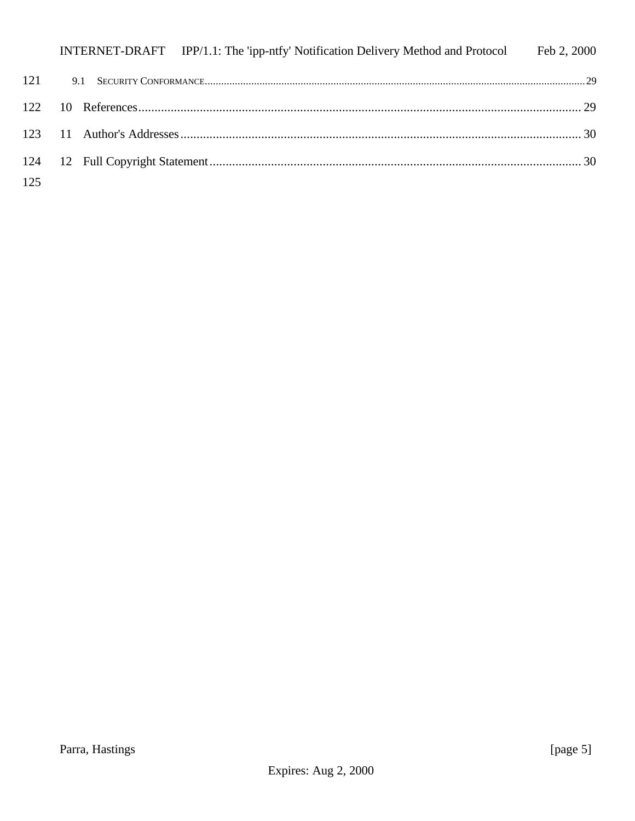|     |  | INTERNET-DRAFT IPP/1.1: The 'ipp-ntfy' Notification Delivery Method and Protocol Feb 2, 2000 |  |
|-----|--|----------------------------------------------------------------------------------------------|--|
| 121 |  |                                                                                              |  |
|     |  |                                                                                              |  |
|     |  |                                                                                              |  |
|     |  |                                                                                              |  |
| 125 |  |                                                                                              |  |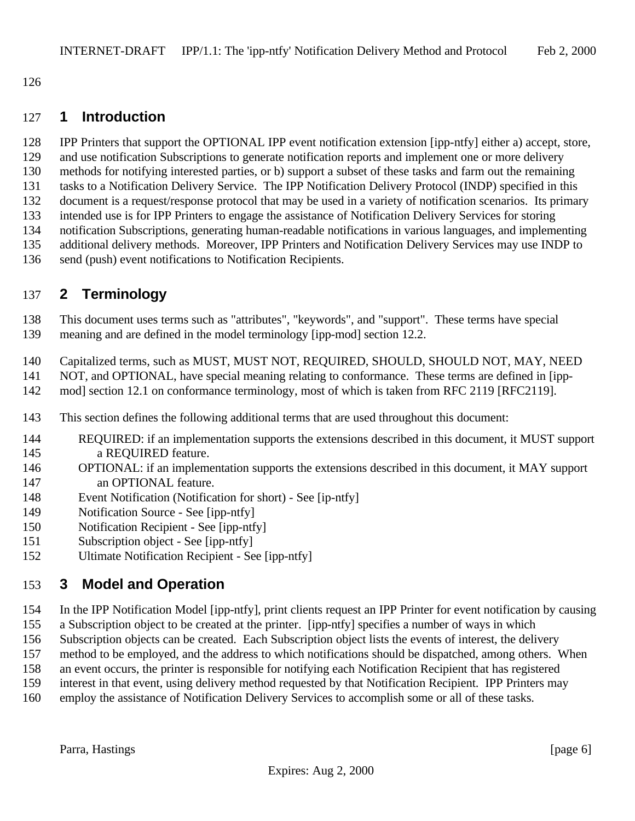# **1 Introduction**

 IPP Printers that support the OPTIONAL IPP event notification extension [ipp-ntfy] either a) accept, store, 129 and use notification Subscriptions to generate notification reports and implement one or more delivery methods for notifying interested parties, or b) support a subset of these tasks and farm out the remaining tasks to a Notification Delivery Service. The IPP Notification Delivery Protocol (INDP) specified in this document is a request/response protocol that may be used in a variety of notification scenarios. Its primary intended use is for IPP Printers to engage the assistance of Notification Delivery Services for storing notification Subscriptions, generating human-readable notifications in various languages, and implementing additional delivery methods. Moreover, IPP Printers and Notification Delivery Services may use INDP to send (push) event notifications to Notification Recipients.

# **2 Terminology**

This document uses terms such as "attributes", "keywords", and "support". These terms have special

- meaning and are defined in the model terminology [ipp-mod] section 12.2.
- Capitalized terms, such as MUST, MUST NOT, REQUIRED, SHOULD, SHOULD NOT, MAY, NEED
- NOT, and OPTIONAL, have special meaning relating to conformance. These terms are defined in [ipp-
- mod] section 12.1 on conformance terminology, most of which is taken from RFC 2119 [RFC2119].
- This section defines the following additional terms that are used throughout this document:
- REQUIRED: if an implementation supports the extensions described in this document, it MUST support a REQUIRED feature.
- OPTIONAL: if an implementation supports the extensions described in this document, it MAY support an OPTIONAL feature.
- Event Notification (Notification for short) See [ip-ntfy]
- Notification Source See [ipp-ntfy]
- Notification Recipient See [ipp-ntfy]
- Subscription object See [ipp-ntfy]
- Ultimate Notification Recipient See [ipp-ntfy]

# **3 Model and Operation**

- In the IPP Notification Model [ipp-ntfy], print clients request an IPP Printer for event notification by causing
- a Subscription object to be created at the printer. [ipp-ntfy] specifies a number of ways in which
- Subscription objects can be created. Each Subscription object lists the events of interest, the delivery
- method to be employed, and the address to which notifications should be dispatched, among others. When
- an event occurs, the printer is responsible for notifying each Notification Recipient that has registered
- interest in that event, using delivery method requested by that Notification Recipient. IPP Printers may
- employ the assistance of Notification Delivery Services to accomplish some or all of these tasks.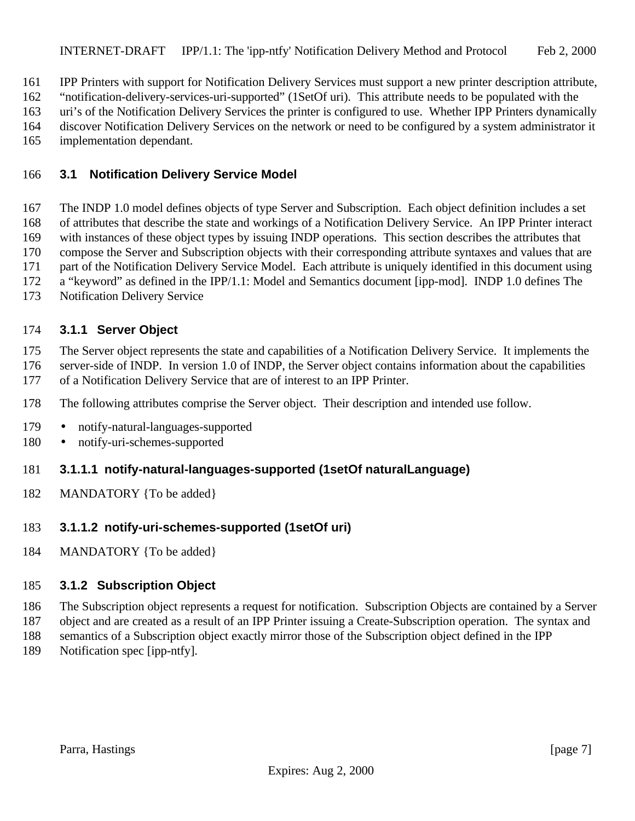IPP Printers with support for Notification Delivery Services must support a new printer description attribute,

"notification-delivery-services-uri-supported" (1SetOf uri). This attribute needs to be populated with the

uri's of the Notification Delivery Services the printer is configured to use. Whether IPP Printers dynamically

 discover Notification Delivery Services on the network or need to be configured by a system administrator it implementation dependant.

# **3.1 Notification Delivery Service Model**

 The INDP 1.0 model defines objects of type Server and Subscription. Each object definition includes a set of attributes that describe the state and workings of a Notification Delivery Service. An IPP Printer interact with instances of these object types by issuing INDP operations. This section describes the attributes that compose the Server and Subscription objects with their corresponding attribute syntaxes and values that are part of the Notification Delivery Service Model. Each attribute is uniquely identified in this document using

a "keyword" as defined in the IPP/1.1: Model and Semantics document [ipp-mod]. INDP 1.0 defines The

Notification Delivery Service

# **3.1.1 Server Object**

The Server object represents the state and capabilities of a Notification Delivery Service. It implements the

 server-side of INDP. In version 1.0 of INDP, the Server object contains information about the capabilities of a Notification Delivery Service that are of interest to an IPP Printer.

The following attributes comprise the Server object. Their description and intended use follow.

- 179 notify-natural-languages-supported
- notify-uri-schemes-supported
- **3.1.1.1 notify-natural-languages-supported (1setOf naturalLanguage)**
- MANDATORY {To be added}

# **3.1.1.2 notify-uri-schemes-supported (1setOf uri)**

MANDATORY {To be added}

# **3.1.2 Subscription Object**

The Subscription object represents a request for notification. Subscription Objects are contained by a Server

object and are created as a result of an IPP Printer issuing a Create-Subscription operation. The syntax and

 semantics of a Subscription object exactly mirror those of the Subscription object defined in the IPP Notification spec [ipp-ntfy].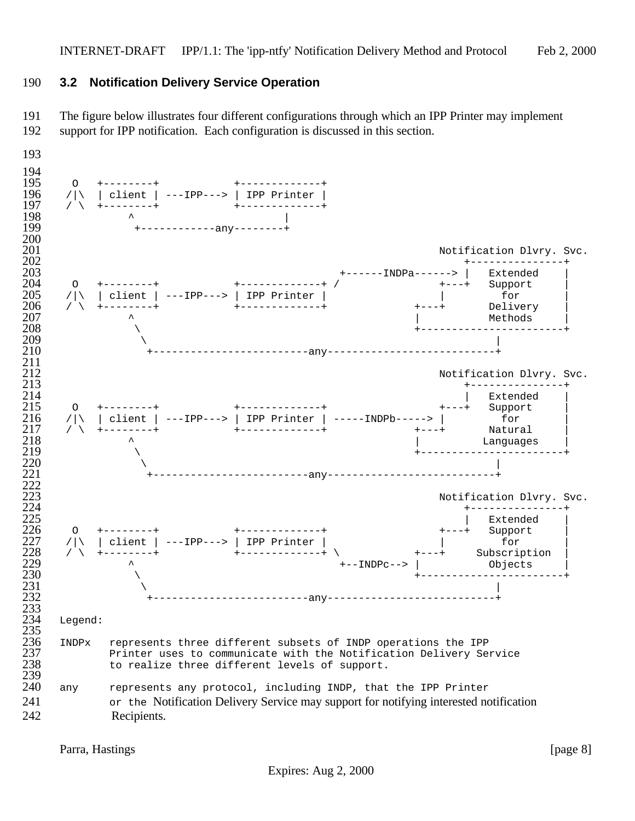### **3.2 Notification Delivery Service Operation**

 The figure below illustrates four different configurations through which an IPP Printer may implement support for IPP notification. Each configuration is discussed in this section.



Parra, Hastings [page 8]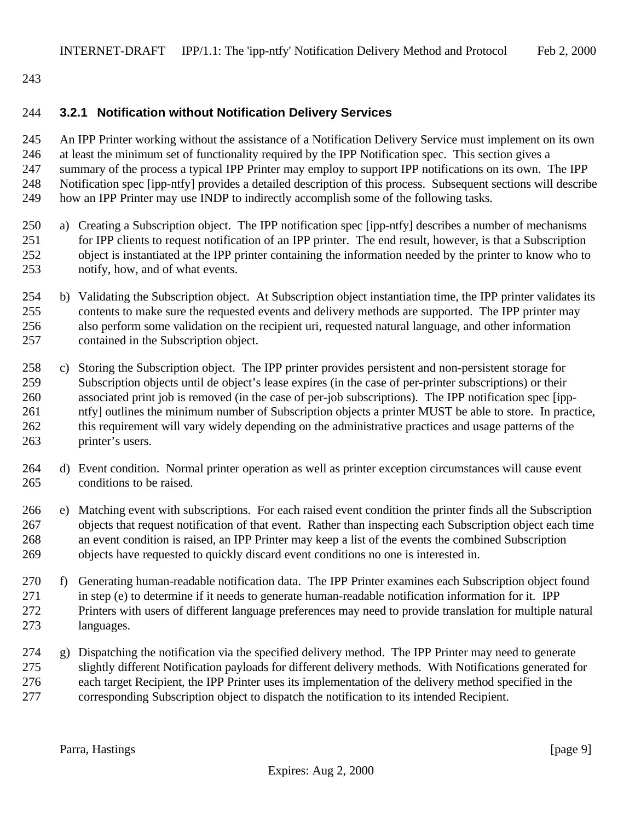### **3.2.1 Notification without Notification Delivery Services**

 An IPP Printer working without the assistance of a Notification Delivery Service must implement on its own at least the minimum set of functionality required by the IPP Notification spec. This section gives a summary of the process a typical IPP Printer may employ to support IPP notifications on its own. The IPP Notification spec [ipp-ntfy] provides a detailed description of this process. Subsequent sections will describe how an IPP Printer may use INDP to indirectly accomplish some of the following tasks.

- a) Creating a Subscription object. The IPP notification spec [ipp-ntfy] describes a number of mechanisms for IPP clients to request notification of an IPP printer. The end result, however, is that a Subscription object is instantiated at the IPP printer containing the information needed by the printer to know who to notify, how, and of what events.
- b) Validating the Subscription object. At Subscription object instantiation time, the IPP printer validates its contents to make sure the requested events and delivery methods are supported. The IPP printer may also perform some validation on the recipient uri, requested natural language, and other information contained in the Subscription object.
- c) Storing the Subscription object. The IPP printer provides persistent and non-persistent storage for Subscription objects until de object's lease expires (in the case of per-printer subscriptions) or their associated print job is removed (in the case of per-job subscriptions). The IPP notification spec [ipp- ntfy] outlines the minimum number of Subscription objects a printer MUST be able to store. In practice, this requirement will vary widely depending on the administrative practices and usage patterns of the printer's users.
- d) Event condition. Normal printer operation as well as printer exception circumstances will cause event conditions to be raised.
- e) Matching event with subscriptions. For each raised event condition the printer finds all the Subscription objects that request notification of that event. Rather than inspecting each Subscription object each time an event condition is raised, an IPP Printer may keep a list of the events the combined Subscription objects have requested to quickly discard event conditions no one is interested in.
- f) Generating human-readable notification data. The IPP Printer examines each Subscription object found in step (e) to determine if it needs to generate human-readable notification information for it. IPP Printers with users of different language preferences may need to provide translation for multiple natural languages.
- g) Dispatching the notification via the specified delivery method. The IPP Printer may need to generate slightly different Notification payloads for different delivery methods. With Notifications generated for each target Recipient, the IPP Printer uses its implementation of the delivery method specified in the corresponding Subscription object to dispatch the notification to its intended Recipient.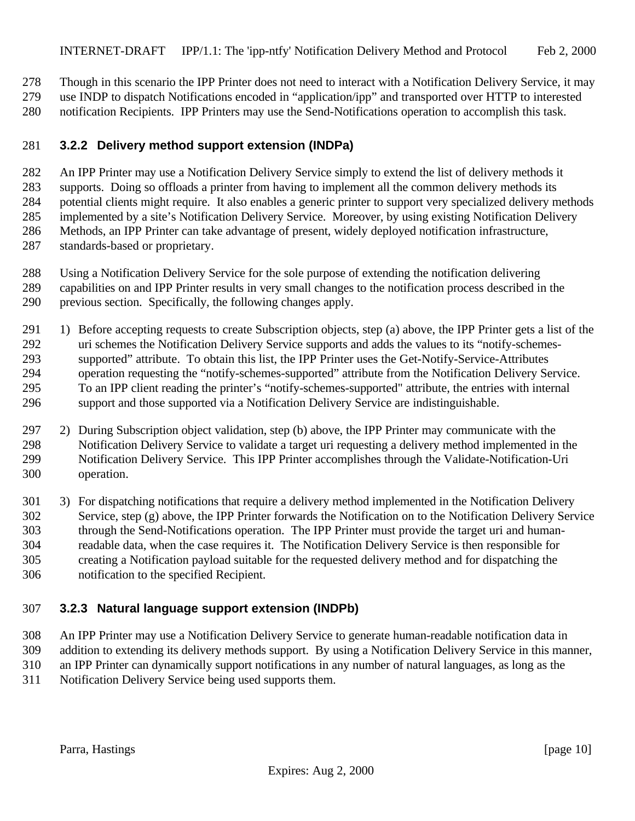Though in this scenario the IPP Printer does not need to interact with a Notification Delivery Service, it may

use INDP to dispatch Notifications encoded in "application/ipp" and transported over HTTP to interested

notification Recipients. IPP Printers may use the Send-Notifications operation to accomplish this task.

### **3.2.2 Delivery method support extension (INDPa)**

 An IPP Printer may use a Notification Delivery Service simply to extend the list of delivery methods it supports. Doing so offloads a printer from having to implement all the common delivery methods its potential clients might require. It also enables a generic printer to support very specialized delivery methods implemented by a site's Notification Delivery Service. Moreover, by using existing Notification Delivery Methods, an IPP Printer can take advantage of present, widely deployed notification infrastructure, standards-based or proprietary.

- Using a Notification Delivery Service for the sole purpose of extending the notification delivering
- capabilities on and IPP Printer results in very small changes to the notification process described in the previous section. Specifically, the following changes apply.
- 1) Before accepting requests to create Subscription objects, step (a) above, the IPP Printer gets a list of the uri schemes the Notification Delivery Service supports and adds the values to its "notify-schemes- supported" attribute. To obtain this list, the IPP Printer uses the Get-Notify-Service-Attributes operation requesting the "notify-schemes-supported" attribute from the Notification Delivery Service. To an IPP client reading the printer's "notify-schemes-supported" attribute, the entries with internal support and those supported via a Notification Delivery Service are indistinguishable.
- 2) During Subscription object validation, step (b) above, the IPP Printer may communicate with the Notification Delivery Service to validate a target uri requesting a delivery method implemented in the Notification Delivery Service. This IPP Printer accomplishes through the Validate-Notification-Uri operation.
- 3) For dispatching notifications that require a delivery method implemented in the Notification Delivery Service, step (g) above, the IPP Printer forwards the Notification on to the Notification Delivery Service through the Send-Notifications operation. The IPP Printer must provide the target uri and human- readable data, when the case requires it. The Notification Delivery Service is then responsible for creating a Notification payload suitable for the requested delivery method and for dispatching the notification to the specified Recipient.

# **3.2.3 Natural language support extension (INDPb)**

 An IPP Printer may use a Notification Delivery Service to generate human-readable notification data in addition to extending its delivery methods support. By using a Notification Delivery Service in this manner, an IPP Printer can dynamically support notifications in any number of natural languages, as long as the Notification Delivery Service being used supports them.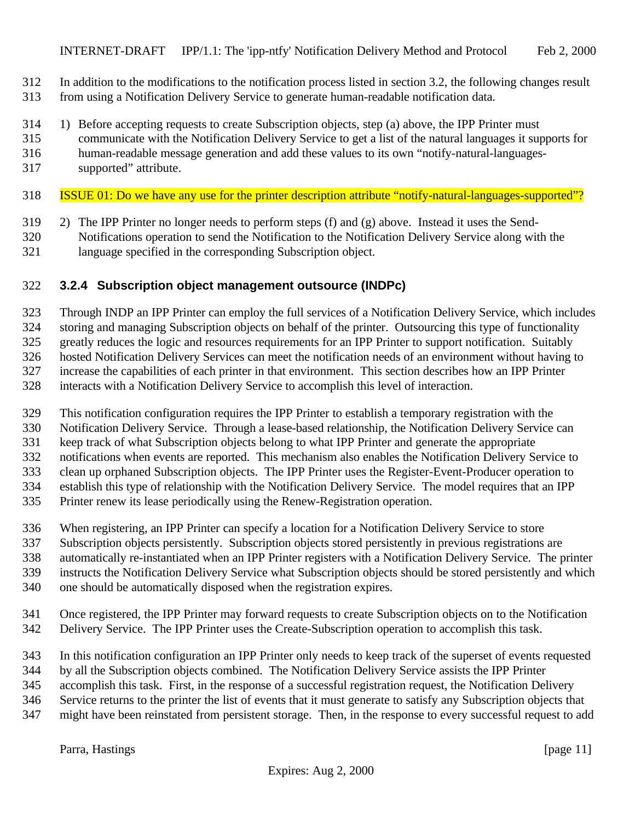- In addition to the modifications to the notification process listed in section 3.2, the following changes result
- from using a Notification Delivery Service to generate human-readable notification data.
- 1) Before accepting requests to create Subscription objects, step (a) above, the IPP Printer must
- communicate with the Notification Delivery Service to get a list of the natural languages it supports for
- human-readable message generation and add these values to its own "notify-natural-languages-
- supported" attribute.
- ISSUE 01: Do we have any use for the printer description attribute "notify-natural-languages-supported"?
- 2) The IPP Printer no longer needs to perform steps (f) and (g) above. Instead it uses the Send-
- Notifications operation to send the Notification to the Notification Delivery Service along with the
- language specified in the corresponding Subscription object.

# **3.2.4 Subscription object management outsource (INDPc)**

Through INDP an IPP Printer can employ the full services of a Notification Delivery Service, which includes

 storing and managing Subscription objects on behalf of the printer. Outsourcing this type of functionality greatly reduces the logic and resources requirements for an IPP Printer to support notification. Suitably

hosted Notification Delivery Services can meet the notification needs of an environment without having to

increase the capabilities of each printer in that environment. This section describes how an IPP Printer

interacts with a Notification Delivery Service to accomplish this level of interaction.

This notification configuration requires the IPP Printer to establish a temporary registration with the

Notification Delivery Service. Through a lease-based relationship, the Notification Delivery Service can

keep track of what Subscription objects belong to what IPP Printer and generate the appropriate

notifications when events are reported. This mechanism also enables the Notification Delivery Service to

clean up orphaned Subscription objects. The IPP Printer uses the Register-Event-Producer operation to

establish this type of relationship with the Notification Delivery Service. The model requires that an IPP

Printer renew its lease periodically using the Renew-Registration operation.

When registering, an IPP Printer can specify a location for a Notification Delivery Service to store

Subscription objects persistently. Subscription objects stored persistently in previous registrations are

automatically re-instantiated when an IPP Printer registers with a Notification Delivery Service. The printer

instructs the Notification Delivery Service what Subscription objects should be stored persistently and which

one should be automatically disposed when the registration expires.

- Once registered, the IPP Printer may forward requests to create Subscription objects on to the Notification
- Delivery Service. The IPP Printer uses the Create-Subscription operation to accomplish this task.

In this notification configuration an IPP Printer only needs to keep track of the superset of events requested

by all the Subscription objects combined. The Notification Delivery Service assists the IPP Printer

accomplish this task. First, in the response of a successful registration request, the Notification Delivery

Service returns to the printer the list of events that it must generate to satisfy any Subscription objects that

might have been reinstated from persistent storage. Then, in the response to every successful request to add

Parra, Hastings [page 11]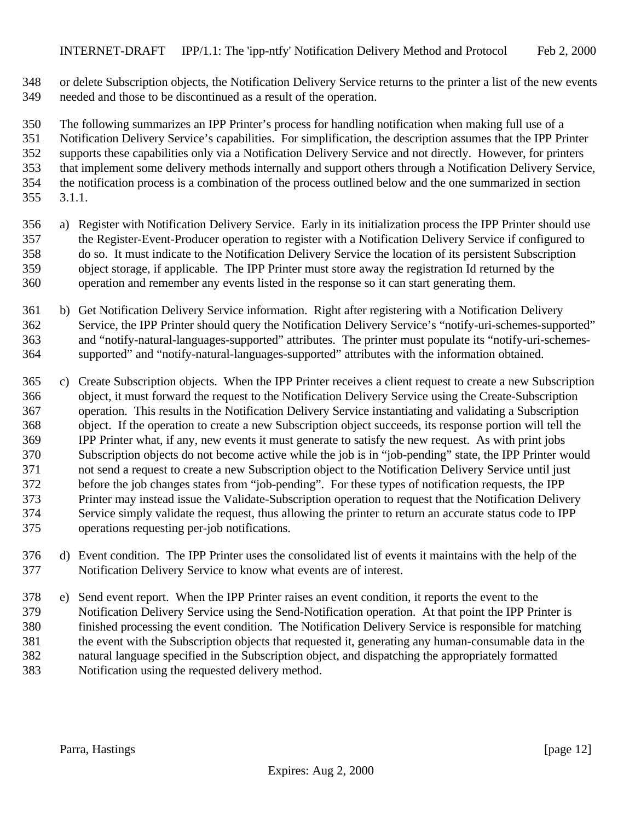or delete Subscription objects, the Notification Delivery Service returns to the printer a list of the new events needed and those to be discontinued as a result of the operation.

 The following summarizes an IPP Printer's process for handling notification when making full use of a Notification Delivery Service's capabilities. For simplification, the description assumes that the IPP Printer supports these capabilities only via a Notification Delivery Service and not directly. However, for printers that implement some delivery methods internally and support others through a Notification Delivery Service, the notification process is a combination of the process outlined below and the one summarized in section 3.1.1.

- a) Register with Notification Delivery Service. Early in its initialization process the IPP Printer should use the Register-Event-Producer operation to register with a Notification Delivery Service if configured to do so. It must indicate to the Notification Delivery Service the location of its persistent Subscription object storage, if applicable. The IPP Printer must store away the registration Id returned by the operation and remember any events listed in the response so it can start generating them.
- b) Get Notification Delivery Service information. Right after registering with a Notification Delivery Service, the IPP Printer should query the Notification Delivery Service's "notify-uri-schemes-supported" and "notify-natural-languages-supported" attributes. The printer must populate its "notify-uri-schemes-supported" and "notify-natural-languages-supported" attributes with the information obtained.
- c) Create Subscription objects. When the IPP Printer receives a client request to create a new Subscription object, it must forward the request to the Notification Delivery Service using the Create-Subscription operation. This results in the Notification Delivery Service instantiating and validating a Subscription object. If the operation to create a new Subscription object succeeds, its response portion will tell the IPP Printer what, if any, new events it must generate to satisfy the new request. As with print jobs Subscription objects do not become active while the job is in "job-pending" state, the IPP Printer would not send a request to create a new Subscription object to the Notification Delivery Service until just before the job changes states from "job-pending". For these types of notification requests, the IPP Printer may instead issue the Validate-Subscription operation to request that the Notification Delivery Service simply validate the request, thus allowing the printer to return an accurate status code to IPP operations requesting per-job notifications.
- d) Event condition. The IPP Printer uses the consolidated list of events it maintains with the help of the Notification Delivery Service to know what events are of interest.
- e) Send event report. When the IPP Printer raises an event condition, it reports the event to the Notification Delivery Service using the Send-Notification operation. At that point the IPP Printer is finished processing the event condition. The Notification Delivery Service is responsible for matching the event with the Subscription objects that requested it, generating any human-consumable data in the natural language specified in the Subscription object, and dispatching the appropriately formatted Notification using the requested delivery method.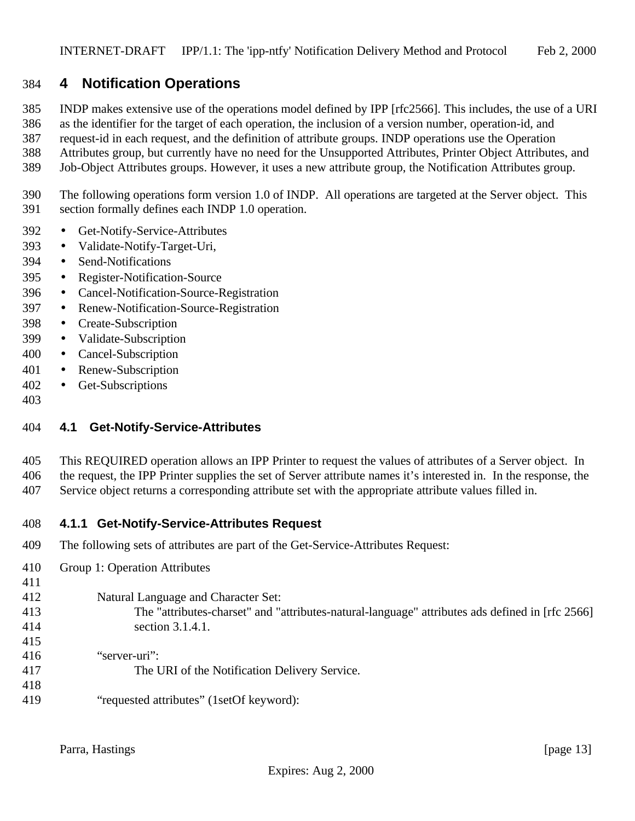# **4 Notification Operations**

INDP makes extensive use of the operations model defined by IPP [rfc2566]. This includes, the use of a URI

as the identifier for the target of each operation, the inclusion of a version number, operation-id, and

request-id in each request, and the definition of attribute groups. INDP operations use the Operation

- Attributes group, but currently have no need for the Unsupported Attributes, Printer Object Attributes, and Job-Object Attributes groups. However, it uses a new attribute group, the Notification Attributes group.
- The following operations form version 1.0 of INDP. All operations are targeted at the Server object. This section formally defines each INDP 1.0 operation.
- Get-Notify-Service-Attributes
- Validate-Notify-Target-Uri,
- Send-Notifications
- Register-Notification-Source
- Cancel-Notification-Source-Registration
- Renew-Notification-Source-Registration
- Create-Subscription
- Validate-Subscription
- Cancel-Subscription
- Renew-Subscription
- Get-Subscriptions
- 

# **4.1 Get-Notify-Service-Attributes**

- This REQUIRED operation allows an IPP Printer to request the values of attributes of a Server object. In the request, the IPP Printer supplies the set of Server attribute names it's interested in. In the response, the
- Service object returns a corresponding attribute set with the appropriate attribute values filled in.

#### **4.1.1 Get-Notify-Service-Attributes Request**

- The following sets of attributes are part of the Get-Service-Attributes Request:
- Group 1: Operation Attributes
- Natural Language and Character Set:
- 

The "attributes-charset" and "attributes-natural-language" attributes ads defined in [rfc 2566]

- section 3.1.4.1.
- 

- 
- "server-uri": The URI of the Notification Delivery Service.
- "requested attributes" (1setOf keyword):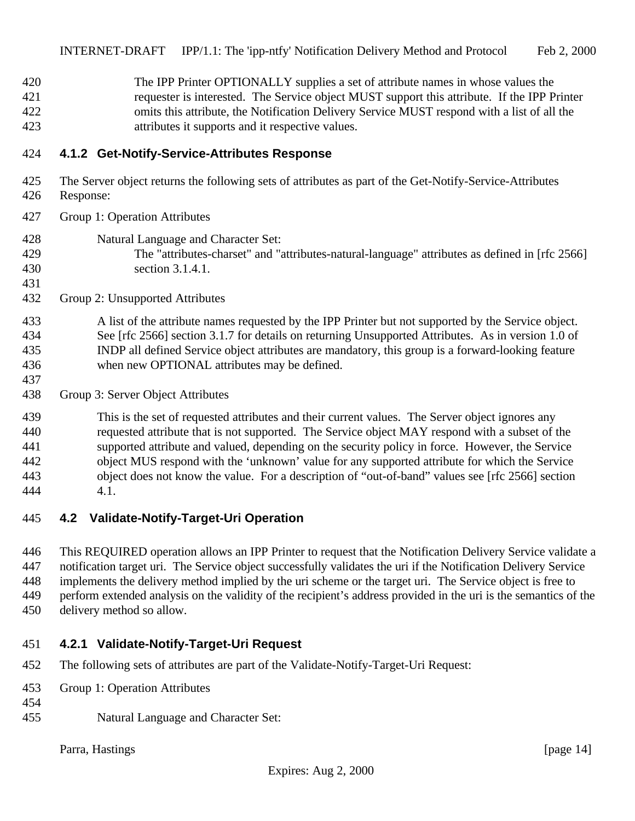The IPP Printer OPTIONALLY supplies a set of attribute names in whose values the requester is interested. The Service object MUST support this attribute. If the IPP Printer omits this attribute, the Notification Delivery Service MUST respond with a list of all the attributes it supports and it respective values.

### **4.1.2 Get-Notify-Service-Attributes Response**

- The Server object returns the following sets of attributes as part of the Get-Notify-Service-Attributes
- Response:

- Group 1: Operation Attributes
- Natural Language and Character Set:
- The "attributes-charset" and "attributes-natural-language" attributes as defined in [rfc 2566] section 3.1.4.1.
- Group 2: Unsupported Attributes

### A list of the attribute names requested by the IPP Printer but not supported by the Service object. See [rfc 2566] section 3.1.7 for details on returning Unsupported Attributes. As in version 1.0 of INDP all defined Service object attributes are mandatory, this group is a forward-looking feature when new OPTIONAL attributes may be defined.

Group 3: Server Object Attributes

 This is the set of requested attributes and their current values. The Server object ignores any requested attribute that is not supported. The Service object MAY respond with a subset of the supported attribute and valued, depending on the security policy in force. However, the Service object MUS respond with the 'unknown' value for any supported attribute for which the Service object does not know the value. For a description of "out-of-band" values see [rfc 2566] section 4.1.

# **4.2 Validate-Notify-Target-Uri Operation**

 This REQUIRED operation allows an IPP Printer to request that the Notification Delivery Service validate a notification target uri. The Service object successfully validates the uri if the Notification Delivery Service implements the delivery method implied by the uri scheme or the target uri. The Service object is free to perform extended analysis on the validity of the recipient's address provided in the uri is the semantics of the delivery method so allow.

#### **4.2.1 Validate-Notify-Target-Uri Request**

- The following sets of attributes are part of the Validate-Notify-Target-Uri Request:
- Group 1: Operation Attributes
- 
- Natural Language and Character Set:

Parra, Hastings [page 14]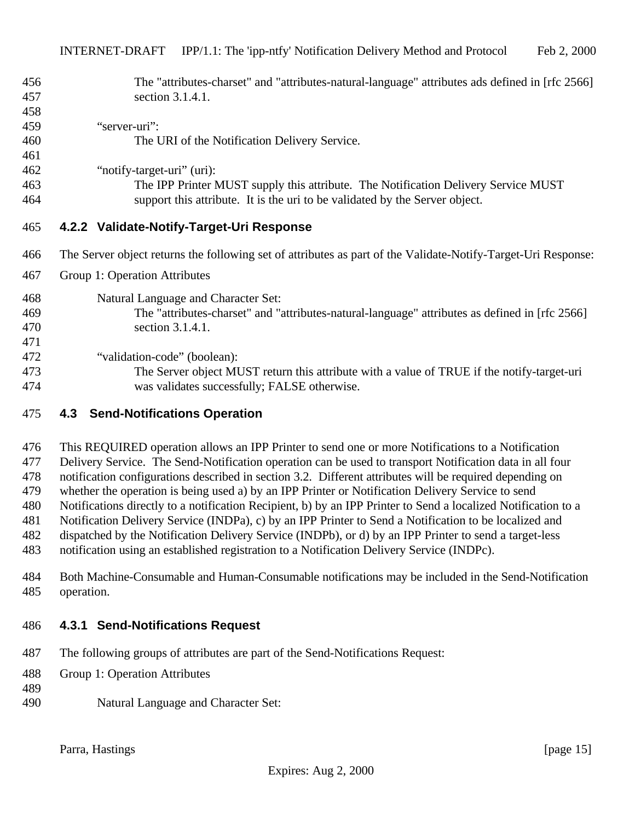| 456 | The "attributes-charset" and "attributes-natural-language" attributes ads defined in [rfc 2566]               |
|-----|---------------------------------------------------------------------------------------------------------------|
| 457 | section 3.1.4.1.                                                                                              |
| 458 |                                                                                                               |
| 459 | "server-uri":                                                                                                 |
| 460 | The URI of the Notification Delivery Service.                                                                 |
| 461 |                                                                                                               |
| 462 | "notify-target-uri" (uri):                                                                                    |
| 463 | The IPP Printer MUST supply this attribute. The Notification Delivery Service MUST                            |
| 464 | support this attribute. It is the uri to be validated by the Server object.                                   |
| 465 | 4.2.2 Validate-Notify-Target-Uri Response                                                                     |
| 466 | The Server object returns the following set of attributes as part of the Validate-Notify-Target-Uri Response: |
| 467 | Group 1: Operation Attributes                                                                                 |
| 468 | Natural Language and Character Set:                                                                           |
| 469 | The "attributes-charset" and "attributes-natural-language" attributes as defined in [rfc 2566]                |
| 470 | section 3.1.4.1.                                                                                              |
| 471 |                                                                                                               |
| 472 | "validation-code" (boolean):                                                                                  |
| 473 | The Server object MUST return this attribute with a value of TRUE if the notify-target-uri                    |
| 474 | was validates successfully; FALSE otherwise.                                                                  |
| 475 | <b>Send-Notifications Operation</b><br>4.3                                                                    |

 This REQUIRED operation allows an IPP Printer to send one or more Notifications to a Notification Delivery Service. The Send-Notification operation can be used to transport Notification data in all four notification configurations described in section 3.2. Different attributes will be required depending on whether the operation is being used a) by an IPP Printer or Notification Delivery Service to send Notifications directly to a notification Recipient, b) by an IPP Printer to Send a localized Notification to a Notification Delivery Service (INDPa), c) by an IPP Printer to Send a Notification to be localized and dispatched by the Notification Delivery Service (INDPb), or d) by an IPP Printer to send a target-less notification using an established registration to a Notification Delivery Service (INDPc).

 Both Machine-Consumable and Human-Consumable notifications may be included in the Send-Notification operation.

#### **4.3.1 Send-Notifications Request**

- The following groups of attributes are part of the Send-Notifications Request:
- Group 1: Operation Attributes
- 
- 
- Natural Language and Character Set:

Parra, Hastings [page 15]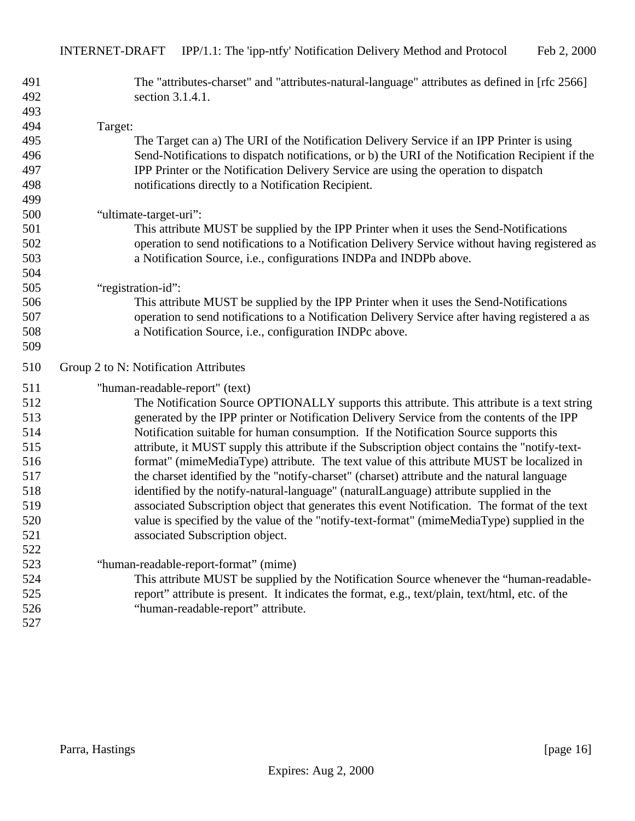| 491 | The "attributes-charset" and "attributes-natural-language" attributes as defined in [rfc 2566]   |
|-----|--------------------------------------------------------------------------------------------------|
| 492 | section 3.1.4.1.                                                                                 |
| 493 |                                                                                                  |
| 494 | Target:                                                                                          |
| 495 | The Target can a) The URI of the Notification Delivery Service if an IPP Printer is using        |
| 496 | Send-Notifications to dispatch notifications, or b) the URI of the Notification Recipient if the |
| 497 | IPP Printer or the Notification Delivery Service are using the operation to dispatch             |
| 498 | notifications directly to a Notification Recipient.                                              |
| 499 |                                                                                                  |
| 500 | "ultimate-target-uri":                                                                           |
| 501 | This attribute MUST be supplied by the IPP Printer when it uses the Send-Notifications           |
| 502 | operation to send notifications to a Notification Delivery Service without having registered as  |
| 503 | a Notification Source, i.e., configurations INDPa and INDPb above.                               |
| 504 |                                                                                                  |
| 505 | "registration-id":                                                                               |
| 506 | This attribute MUST be supplied by the IPP Printer when it uses the Send-Notifications           |
| 507 | operation to send notifications to a Notification Delivery Service after having registered a as  |
| 508 | a Notification Source, i.e., configuration INDPc above.                                          |
| 509 |                                                                                                  |
| 510 | Group 2 to N: Notification Attributes                                                            |
| 511 | "human-readable-report" (text)                                                                   |
| 512 | The Notification Source OPTIONALLY supports this attribute. This attribute is a text string      |
| 513 | generated by the IPP printer or Notification Delivery Service from the contents of the IPP       |
| 514 | Notification suitable for human consumption. If the Notification Source supports this            |
| 515 | attribute, it MUST supply this attribute if the Subscription object contains the "notify-text-   |
| 516 | format" (mimeMediaType) attribute. The text value of this attribute MUST be localized in         |
| 517 | the charset identified by the "notify-charset" (charset) attribute and the natural language      |
|     |                                                                                                  |
| 518 | identified by the notify-natural-language" (naturalLanguage) attribute supplied in the           |
| 519 | associated Subscription object that generates this event Notification. The format of the text    |
| 520 | value is specified by the value of the "notify-text-format" (mimeMediaType) supplied in the      |
| 521 | associated Subscription object.                                                                  |
| 522 |                                                                                                  |
| 523 | "human-readable-report-format" (mime)                                                            |
| 524 | This attribute MUST be supplied by the Notification Source whenever the "human-readable-         |
| 525 | report" attribute is present. It indicates the format, e.g., text/plain, text/html, etc. of the  |
| 526 | "human-readable-report" attribute.                                                               |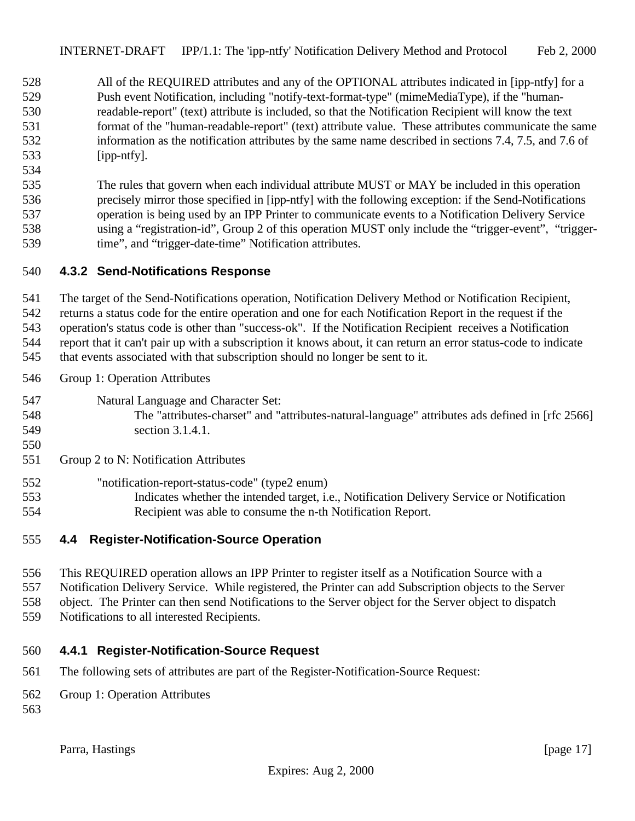All of the REQUIRED attributes and any of the OPTIONAL attributes indicated in [ipp-ntfy] for a Push event Notification, including "notify-text-format-type" (mimeMediaType), if the "human- readable-report" (text) attribute is included, so that the Notification Recipient will know the text format of the "human-readable-report" (text) attribute value. These attributes communicate the same information as the notification attributes by the same name described in sections 7.4, 7.5, and 7.6 of [ipp-ntfy].

 The rules that govern when each individual attribute MUST or MAY be included in this operation precisely mirror those specified in [ipp-ntfy] with the following exception: if the Send-Notifications operation is being used by an IPP Printer to communicate events to a Notification Delivery Service using a "registration-id", Group 2 of this operation MUST only include the "trigger-event", "trigger-time", and "trigger-date-time" Notification attributes.

#### **4.3.2 Send-Notifications Response**

The target of the Send-Notifications operation, Notification Delivery Method or Notification Recipient,

returns a status code for the entire operation and one for each Notification Report in the request if the

operation's status code is other than "success-ok". If the Notification Recipient receives a Notification

report that it can't pair up with a subscription it knows about, it can return an error status-code to indicate

that events associated with that subscription should no longer be sent to it.

- Group 1: Operation Attributes
- Natural Language and Character Set:
- The "attributes-charset" and "attributes-natural-language" attributes ads defined in [rfc 2566] section 3.1.4.1.
- 

Group 2 to N: Notification Attributes

- "notification-report-status-code" (type2 enum)
- Indicates whether the intended target, i.e., Notification Delivery Service or Notification Recipient was able to consume the n-th Notification Report.

# **4.4 Register-Notification-Source Operation**

 This REQUIRED operation allows an IPP Printer to register itself as a Notification Source with a Notification Delivery Service. While registered, the Printer can add Subscription objects to the Server object. The Printer can then send Notifications to the Server object for the Server object to dispatch Notifications to all interested Recipients.

#### **4.4.1 Register-Notification-Source Request**

- The following sets of attributes are part of the Register-Notification-Source Request:
- Group 1: Operation Attributes
-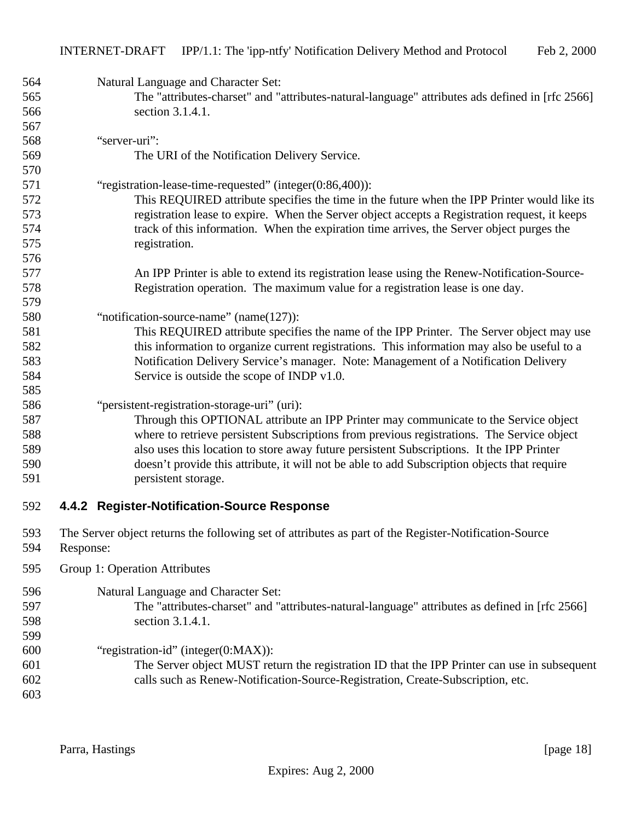| 564<br>565 | Natural Language and Character Set:<br>The "attributes-charset" and "attributes-natural-language" attributes ads defined in [rfc 2566] |
|------------|----------------------------------------------------------------------------------------------------------------------------------------|
| 566        | section 3.1.4.1.                                                                                                                       |
| 567        |                                                                                                                                        |
| 568        | "server-uri":                                                                                                                          |
| 569        | The URI of the Notification Delivery Service.                                                                                          |
| 570        |                                                                                                                                        |
| 571        | "registration-lease-time-requested" (integer(0:86,400)):                                                                               |
| 572        | This REQUIRED attribute specifies the time in the future when the IPP Printer would like its                                           |
| 573        | registration lease to expire. When the Server object accepts a Registration request, it keeps                                          |
| 574        | track of this information. When the expiration time arrives, the Server object purges the                                              |
| 575        | registration.                                                                                                                          |
| 576        |                                                                                                                                        |
| 577        | An IPP Printer is able to extend its registration lease using the Renew-Notification-Source-                                           |
| 578        | Registration operation. The maximum value for a registration lease is one day.                                                         |
| 579        |                                                                                                                                        |
| 580<br>581 | "notification-source-name" (name(127)):<br>This REQUIRED attribute specifies the name of the IPP Printer. The Server object may use    |
| 582        | this information to organize current registrations. This information may also be useful to a                                           |
| 583        | Notification Delivery Service's manager. Note: Management of a Notification Delivery                                                   |
| 584        | Service is outside the scope of INDP v1.0.                                                                                             |
| 585        |                                                                                                                                        |
| 586        | "persistent-registration-storage-uri" (uri):                                                                                           |
| 587        | Through this OPTIONAL attribute an IPP Printer may communicate to the Service object                                                   |
| 588        | where to retrieve persistent Subscriptions from previous registrations. The Service object                                             |
| 589        | also uses this location to store away future persistent Subscriptions. It the IPP Printer                                              |
| 590        | doesn't provide this attribute, it will not be able to add Subscription objects that require                                           |
| 591        | persistent storage.                                                                                                                    |
| 592        | 4.4.2 Register-Notification-Source Response                                                                                            |
| 593<br>594 | The Server object returns the following set of attributes as part of the Register-Notification-Source<br>Response:                     |
|            |                                                                                                                                        |
| 595        | Group 1: Operation Attributes                                                                                                          |
| 596        | Natural Language and Character Set:                                                                                                    |
| 597        | The "attributes-charset" and "attributes-natural-language" attributes as defined in [rfc 2566]                                         |
| 598        | section 3.1.4.1.                                                                                                                       |
| 599        |                                                                                                                                        |
| 600        | "registration-id" (integer(0:MAX)):                                                                                                    |
| 601        | The Server object MUST return the registration ID that the IPP Printer can use in subsequent                                           |
| 602        | calls such as Renew-Notification-Source-Registration, Create-Subscription, etc.                                                        |
| 603        |                                                                                                                                        |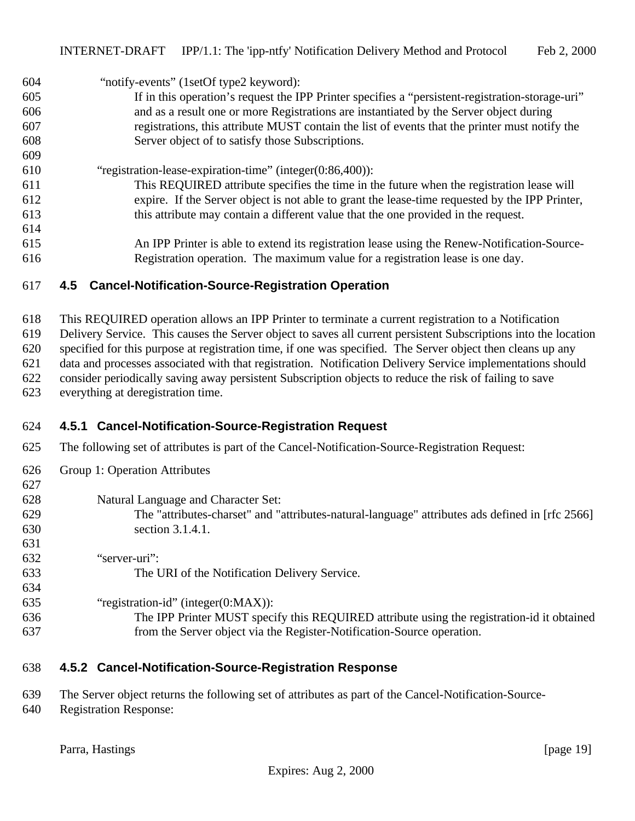604 "notify-events" (1setOf type2 keyword):

- If in this operation's request the IPP Printer specifies a "persistent-registration-storage-uri" and as a result one or more Registrations are instantiated by the Server object during registrations, this attribute MUST contain the list of events that the printer must notify the Server object of to satisfy those Subscriptions.
- "registration-lease-expiration-time" (integer(0:86,400)):
- This REQUIRED attribute specifies the time in the future when the registration lease will expire. If the Server object is not able to grant the lease-time requested by the IPP Printer, this attribute may contain a different value that the one provided in the request.
- An IPP Printer is able to extend its registration lease using the Renew-Notification-Source-Registration operation. The maximum value for a registration lease is one day.

### **4.5 Cancel-Notification-Source-Registration Operation**

 This REQUIRED operation allows an IPP Printer to terminate a current registration to a Notification Delivery Service. This causes the Server object to saves all current persistent Subscriptions into the location specified for this purpose at registration time, if one was specified. The Server object then cleans up any

data and processes associated with that registration. Notification Delivery Service implementations should

- consider periodically saving away persistent Subscription objects to reduce the risk of failing to save
- everything at deregistration time.

# **4.5.1 Cancel-Notification-Source-Registration Request**

- The following set of attributes is part of the Cancel-Notification-Source-Registration Request:
- Group 1: Operation Attributes

# Natural Language and Character Set:

- The "attributes-charset" and "attributes-natural-language" attributes ads defined in [rfc 2566] section 3.1.4.1.
- "server-uri":
- The URI of the Notification Delivery Service.
- "registration-id" (integer(0:MAX)):
- The IPP Printer MUST specify this REQUIRED attribute using the registration-id it obtained from the Server object via the Register-Notification-Source operation.

# **4.5.2 Cancel-Notification-Source-Registration Response**

- The Server object returns the following set of attributes as part of the Cancel-Notification-Source-
- Registration Response: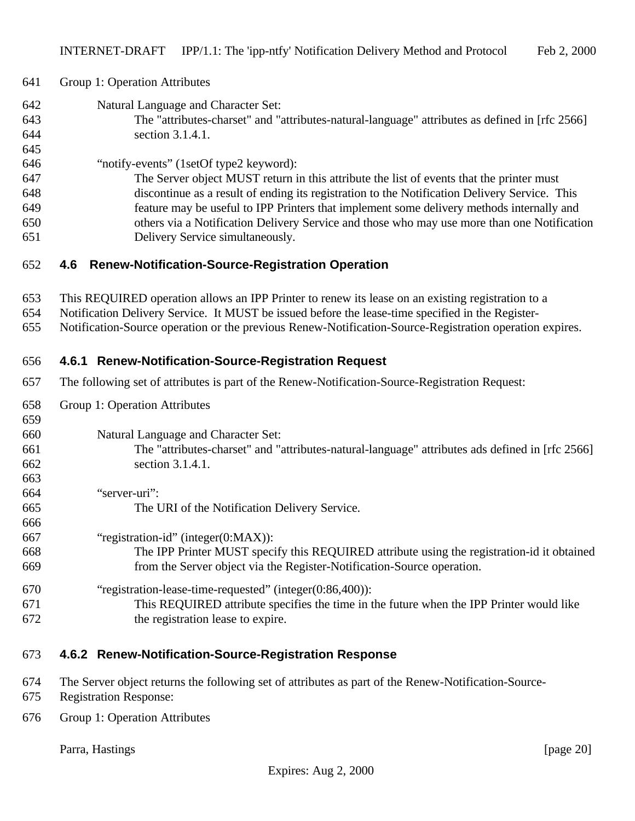| 641<br>Group 1: Operation Attributes |  |
|--------------------------------------|--|
|--------------------------------------|--|

- Natural Language and Character Set: The "attributes-charset" and "attributes-natural-language" attributes as defined in [rfc 2566]
- section 3.1.4.1.
- "notify-events" (1setOf type2 keyword):
- The Server object MUST return in this attribute the list of events that the printer must discontinue as a result of ending its registration to the Notification Delivery Service. This feature may be useful to IPP Printers that implement some delivery methods internally and others via a Notification Delivery Service and those who may use more than one Notification Delivery Service simultaneously.

### **4.6 Renew-Notification-Source-Registration Operation**

- This REQUIRED operation allows an IPP Printer to renew its lease on an existing registration to a
- Notification Delivery Service. It MUST be issued before the lease-time specified in the Register-
- Notification-Source operation or the previous Renew-Notification-Source-Registration operation expires.

# **4.6.1 Renew-Notification-Source-Registration Request**

- The following set of attributes is part of the Renew-Notification-Source-Registration Request:
- Group 1: Operation Attributes

# Natural Language and Character Set:

- The "attributes-charset" and "attributes-natural-language" attributes ads defined in [rfc 2566] section 3.1.4.1.
- "server-uri": The URI of the Notification Delivery Service. "registration-id" (integer(0:MAX)): The IPP Printer MUST specify this REQUIRED attribute using the registration-id it obtained from the Server object via the Register-Notification-Source operation.
- "registration-lease-time-requested" (integer(0:86,400)): This REQUIRED attribute specifies the time in the future when the IPP Printer would like the registration lease to expire.

# **4.6.2 Renew-Notification-Source-Registration Response**

- The Server object returns the following set of attributes as part of the Renew-Notification-Source-
- Registration Response:
- Group 1: Operation Attributes

Parra, Hastings [page 20]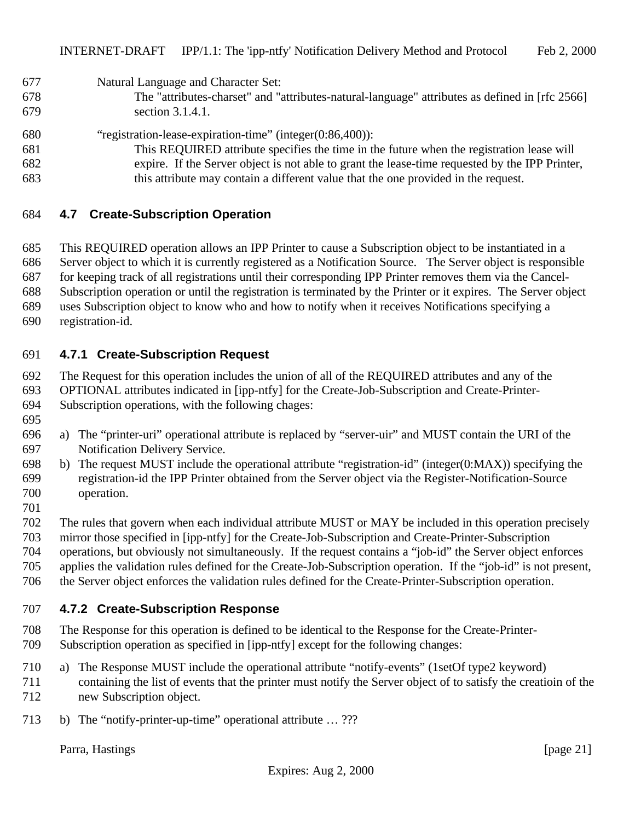Natural Language and Character Set:

- The "attributes-charset" and "attributes-natural-language" attributes as defined in [rfc 2566] section 3.1.4.1.
- "registration-lease-expiration-time" (integer(0:86,400)):
- This REQUIRED attribute specifies the time in the future when the registration lease will expire. If the Server object is not able to grant the lease-time requested by the IPP Printer, this attribute may contain a different value that the one provided in the request.

### **4.7 Create-Subscription Operation**

 This REQUIRED operation allows an IPP Printer to cause a Subscription object to be instantiated in a Server object to which it is currently registered as a Notification Source. The Server object is responsible for keeping track of all registrations until their corresponding IPP Printer removes them via the Cancel- Subscription operation or until the registration is terminated by the Printer or it expires. The Server object uses Subscription object to know who and how to notify when it receives Notifications specifying a

registration-id.

### **4.7.1 Create-Subscription Request**

The Request for this operation includes the union of all of the REQUIRED attributes and any of the

OPTIONAL attributes indicated in [ipp-ntfy] for the Create-Job-Subscription and Create-Printer-

- Subscription operations, with the following chages:
- 
- a) The "printer-uri" operational attribute is replaced by "server-uir" and MUST contain the URI of the Notification Delivery Service.
- b) The request MUST include the operational attribute "registration-id" (integer(0:MAX)) specifying the registration-id the IPP Printer obtained from the Server object via the Register-Notification-Source operation.
- 

The rules that govern when each individual attribute MUST or MAY be included in this operation precisely

 mirror those specified in [ipp-ntfy] for the Create-Job-Subscription and Create-Printer-Subscription operations, but obviously not simultaneously. If the request contains a "job-id" the Server object enforces

applies the validation rules defined for the Create-Job-Subscription operation. If the "job-id" is not present,

the Server object enforces the validation rules defined for the Create-Printer-Subscription operation.

#### **4.7.2 Create-Subscription Response**

- The Response for this operation is defined to be identical to the Response for the Create-Printer-
- Subscription operation as specified in [ipp-ntfy] except for the following changes:
- a) The Response MUST include the operational attribute "notify-events" (1setOf type2 keyword) containing the list of events that the printer must notify the Server object of to satisfy the creatioin of the
- new Subscription object.
- 713 b) The "notify-printer-up-time" operational attribute ... ???

Parra, Hastings [page 21]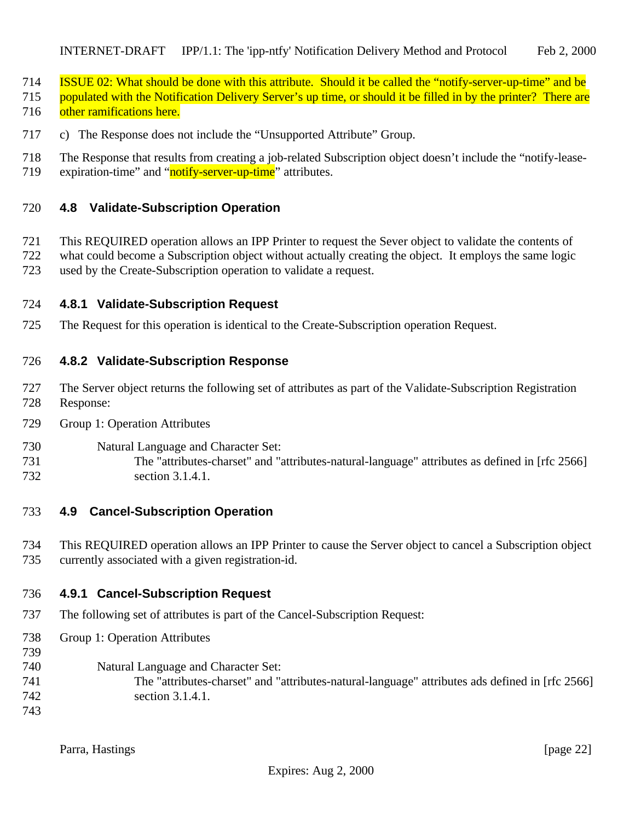- ISSUE 02: What should be done with this attribute. Should it be called the "notify-server-up-time" and be
- populated with the Notification Delivery Server's up time, or should it be filled in by the printer? There are 716 other ramifications here.
- c) The Response does not include the "Unsupported Attribute" Group.
- The Response that results from creating a job-related Subscription object doesn't include the "notify-lease-
- 719 expiration-time" and "notify-server-up-time" attributes.

### **4.8 Validate-Subscription Operation**

- This REQUIRED operation allows an IPP Printer to request the Sever object to validate the contents of what could become a Subscription object without actually creating the object. It employs the same logic
- used by the Create-Subscription operation to validate a request.

### **4.8.1 Validate-Subscription Request**

The Request for this operation is identical to the Create-Subscription operation Request.

### **4.8.2 Validate-Subscription Response**

- The Server object returns the following set of attributes as part of the Validate-Subscription Registration Response:
- Group 1: Operation Attributes
- Natural Language and Character Set:
- The "attributes-charset" and "attributes-natural-language" attributes as defined in [rfc 2566] section 3.1.4.1.

# **4.9 Cancel-Subscription Operation**

 This REQUIRED operation allows an IPP Printer to cause the Server object to cancel a Subscription object currently associated with a given registration-id.

# **4.9.1 Cancel-Subscription Request**

- The following set of attributes is part of the Cancel-Subscription Request:
- Group 1: Operation Attributes
- Natural Language and Character Set:
- The "attributes-charset" and "attributes-natural-language" attributes ads defined in [rfc 2566] section 3.1.4.1.
- 

Parra, Hastings [page 22]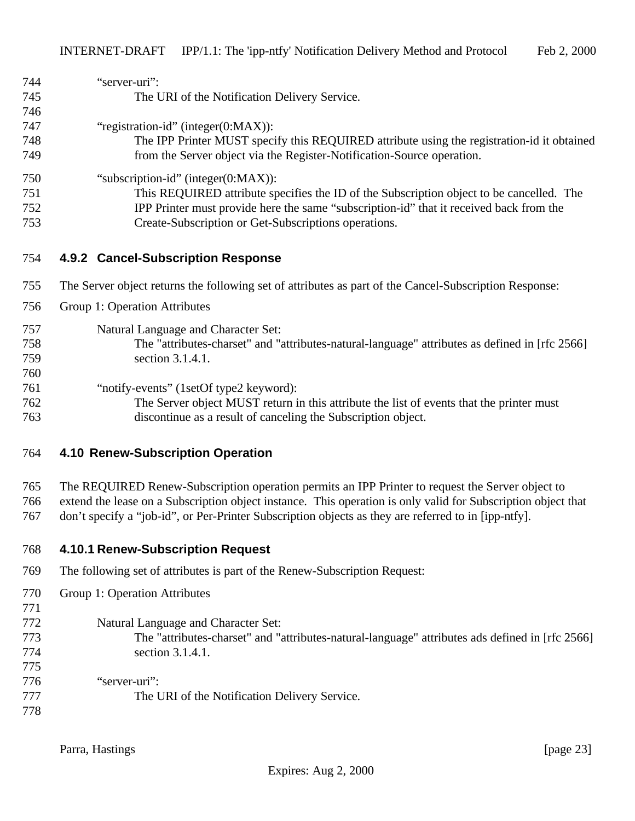| 744 | "server-uri":                                                                                          |
|-----|--------------------------------------------------------------------------------------------------------|
| 745 | The URI of the Notification Delivery Service.                                                          |
| 746 |                                                                                                        |
| 747 | "registration-id" (integer(0:MAX)):                                                                    |
| 748 | The IPP Printer MUST specify this REQUIRED attribute using the registration-id it obtained             |
| 749 | from the Server object via the Register-Notification-Source operation.                                 |
| 750 | "subscription-id" (integer $(0:MAX)$ ):                                                                |
| 751 | This REQUIRED attribute specifies the ID of the Subscription object to be cancelled. The               |
| 752 | IPP Printer must provide here the same "subscription-id" that it received back from the                |
| 753 | Create-Subscription or Get-Subscriptions operations.                                                   |
| 754 | 4.9.2 Cancel-Subscription Response                                                                     |
| 755 | The Server object returns the following set of attributes as part of the Cancel-Subscription Response: |

- Group 1: Operation Attributes
- Natural Language and Character Set:
- The "attributes-charset" and "attributes-natural-language" attributes as defined in [rfc 2566] section 3.1.4.1.
- "notify-events" (1setOf type2 keyword):
- The Server object MUST return in this attribute the list of events that the printer must discontinue as a result of canceling the Subscription object.

#### **4.10 Renew-Subscription Operation**

 The REQUIRED Renew-Subscription operation permits an IPP Printer to request the Server object to extend the lease on a Subscription object instance. This operation is only valid for Subscription object that don't specify a "job-id", or Per-Printer Subscription objects as they are referred to in [ipp-ntfy].

- **4.10.1 Renew-Subscription Request**
- The following set of attributes is part of the Renew-Subscription Request:

Group 1: Operation Attributes

- Natural Language and Character Set:
- The "attributes-charset" and "attributes-natural-language" attributes ads defined in [rfc 2566] section 3.1.4.1.
- "server-uri": The URI of the Notification Delivery Service.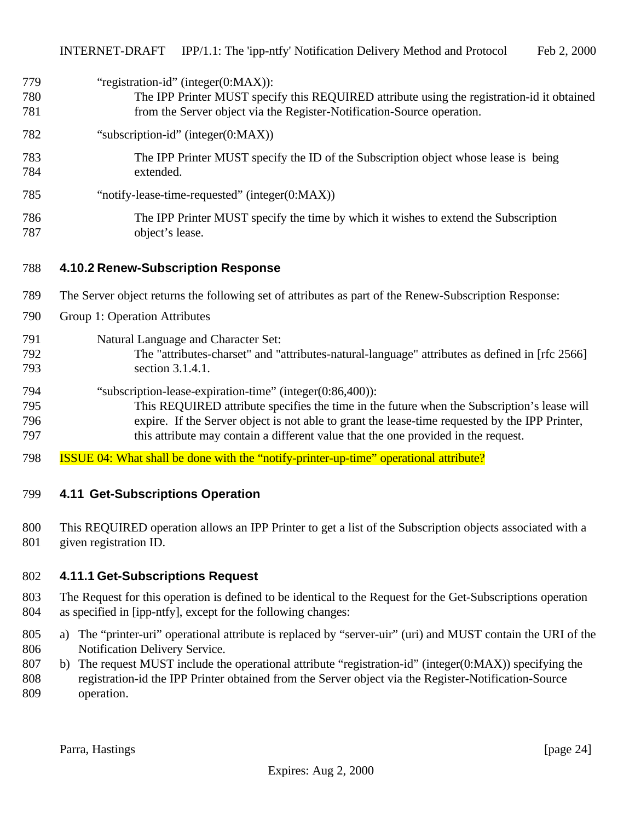# 779 "registration-id" (integer(0:MAX)):

 The IPP Printer MUST specify this REQUIRED attribute using the registration-id it obtained from the Server object via the Register-Notification-Source operation.

### "subscription-id" (integer(0:MAX))

- The IPP Printer MUST specify the ID of the Subscription object whose lease is being extended.
- "notify-lease-time-requested" (integer(0:MAX))
- The IPP Printer MUST specify the time by which it wishes to extend the Subscription object's lease.

#### **4.10.2 Renew-Subscription Response**

- The Server object returns the following set of attributes as part of the Renew-Subscription Response:
- Group 1: Operation Attributes

#### Natural Language and Character Set:

- The "attributes-charset" and "attributes-natural-language" attributes as defined in [rfc 2566] section 3.1.4.1.
- "subscription-lease-expiration-time" (integer(0:86,400)):
- This REQUIRED attribute specifies the time in the future when the Subscription's lease will expire. If the Server object is not able to grant the lease-time requested by the IPP Printer, this attribute may contain a different value that the one provided in the request.
- 798 ISSUE 04: What shall be done with the "notify-printer-up-time" operational attribute?

# **4.11 Get-Subscriptions Operation**

 This REQUIRED operation allows an IPP Printer to get a list of the Subscription objects associated with a given registration ID.

#### **4.11.1 Get-Subscriptions Request**

- The Request for this operation is defined to be identical to the Request for the Get-Subscriptions operation as specified in [ipp-ntfy], except for the following changes:
- a) The "printer-uri" operational attribute is replaced by "server-uir" (uri) and MUST contain the URI of the Notification Delivery Service.
- b) The request MUST include the operational attribute "registration-id" (integer(0:MAX)) specifying the registration-id the IPP Printer obtained from the Server object via the Register-Notification-Source operation.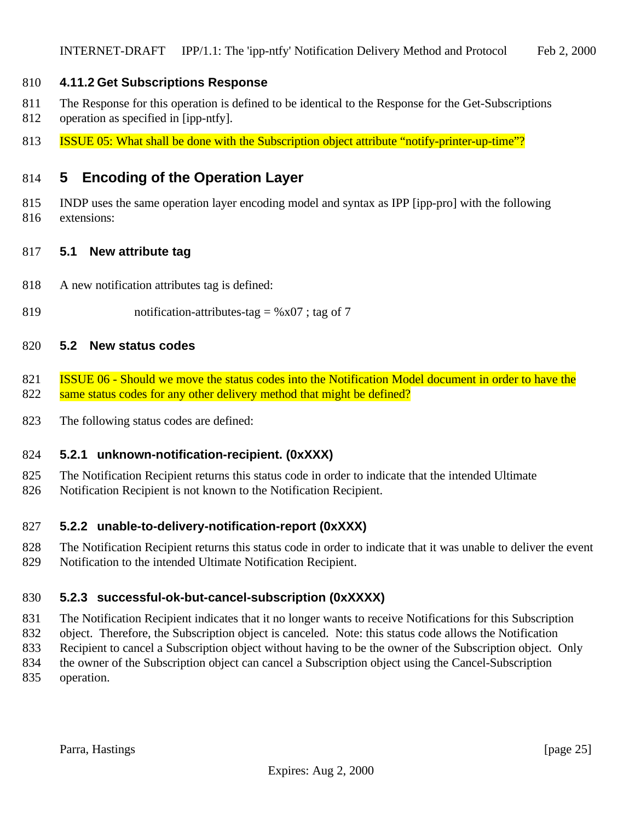### **4.11.2 Get Subscriptions Response**

- The Response for this operation is defined to be identical to the Response for the Get-Subscriptions
- operation as specified in [ipp-ntfy].
- **ISSUE 05:** What shall be done with the Subscription object attribute "notify-printer-up-time"?

# **5 Encoding of the Operation Layer**

 INDP uses the same operation layer encoding model and syntax as IPP [ipp-pro] with the following extensions:

#### **5.1 New attribute tag**

- A new notification attributes tag is defined:
- 819 notification-attributes-tag =  $%x07$ ; tag of 7

#### **5.2 New status codes**

- **ISSUE 06 Should we move the status codes into the Notification Model document in order to have the** 822 same status codes for any other delivery method that might be defined?
- The following status codes are defined:

#### **5.2.1 unknown-notification-recipient. (0xXXX)**

- The Notification Recipient returns this status code in order to indicate that the intended Ultimate
- Notification Recipient is not known to the Notification Recipient.

### **5.2.2 unable-to-delivery-notification-report (0xXXX)**

 The Notification Recipient returns this status code in order to indicate that it was unable to deliver the event Notification to the intended Ultimate Notification Recipient.

# **5.2.3 successful-ok-but-cancel-subscription (0xXXXX)**

 The Notification Recipient indicates that it no longer wants to receive Notifications for this Subscription object. Therefore, the Subscription object is canceled. Note: this status code allows the Notification

- Recipient to cancel a Subscription object without having to be the owner of the Subscription object. Only
- the owner of the Subscription object can cancel a Subscription object using the Cancel-Subscription
- operation.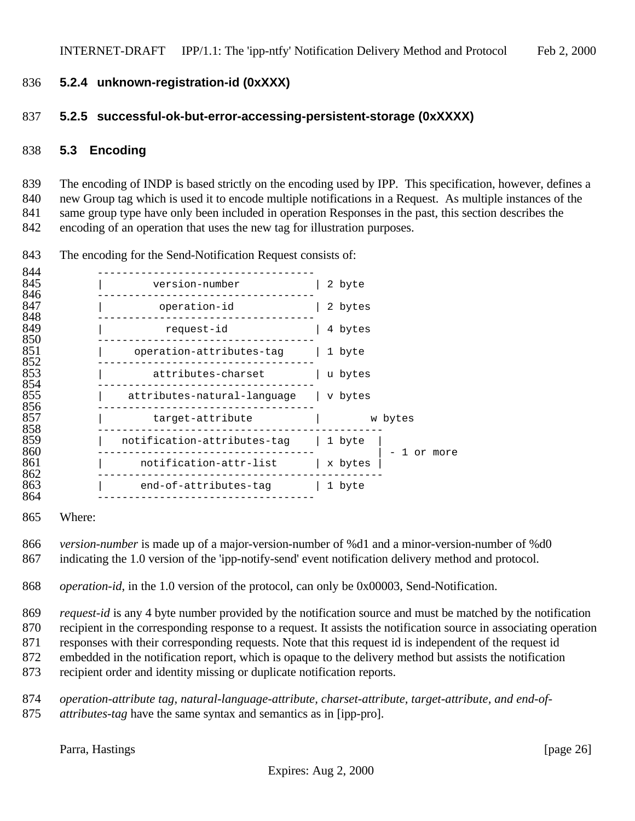### **5.2.4 unknown-registration-id (0xXXX)**

#### **5.2.5 successful-ok-but-error-accessing-persistent-storage (0xXXXX)**

### **5.3 Encoding**

 The encoding of INDP is based strictly on the encoding used by IPP. This specification, however, defines a new Group tag which is used it to encode multiple notifications in a Request. As multiple instances of the same group type have only been included in operation Responses in the past, this section describes the encoding of an operation that uses the new tag for illustration purposes.

| 844               |                                |                    |
|-------------------|--------------------------------|--------------------|
| 845               | version-number                 | 2 byte             |
| 846<br>847<br>848 | operation-id                   | 2 bytes            |
| 849               | request-id                     | 4 bytes            |
| 850<br>851<br>852 | operation-attributes-taq       | 1 byte             |
| 853<br>854        | attributes-charset             | u bytes            |
| 855<br>856        | attributes-natural-lanquaqe    | v bytes            |
| 857               | target-attribute               | w bytes            |
| 858<br>859        | notification-attributes-tag    | 1 byte             |
| 860<br>861        | notification-attr-list         | or more<br>x bytes |
| 862<br>863<br>864 | end-of-attributes-tag   1 byte |                    |

The encoding for the Send-Notification Request consists of:

Where:

 *version-number* is made up of a major-version-number of %d1 and a minor-version-number of %d0 indicating the 1.0 version of the 'ipp-notify-send' event notification delivery method and protocol.

*operation-id*, in the 1.0 version of the protocol, can only be 0x00003, Send-Notification.

 *request-id* is any 4 byte number provided by the notification source and must be matched by the notification recipient in the corresponding response to a request. It assists the notification source in associating operation responses with their corresponding requests. Note that this request id is independent of the request id embedded in the notification report, which is opaque to the delivery method but assists the notification

recipient order and identity missing or duplicate notification reports.

 *operation-attribute tag, natural-language-attribute, charset-attribute, target-attribute, and end-of-attributes-tag* have the same syntax and semantics as in [ipp-pro].

Parra, Hastings [page 26]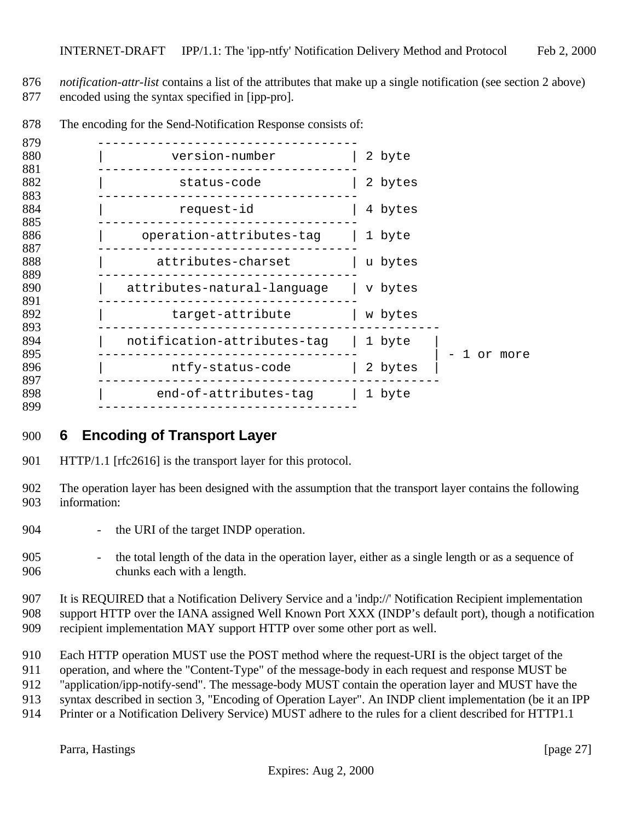- *notification-attr-list* contains a list of the attributes that make up a single notification (see section 2 above) encoded using the syntax specified in [ipp-pro].
- ----------------------------------- | version-number | 2 byte ----------------------------------- 882 | status-code | 2 bytes ----------------------------------- 884 | request-id | 4 bytes ----------------------------------- 886 | operation-attributes-tag | 1 byte ----------------------------------- 888 | attributes-charset | u bytes ----------------------------------- | attributes-natural-language | v bytes ----------------------------------- | target-attribute | w bytes ---------------------------------------------- | notification-attributes-tag | 1 byte | ----------------------------------- | - 1 or more 896 | ntfy-status-code | 2 bytes ---------------------------------------------- 898 | end-of-attributes-tag | 1 byte<br>899 -------------------------------------------------------------------
- The encoding for the Send-Notification Response consists of:

# **6 Encoding of Transport Layer**

- 901 HTTP/1.1 [rfc2616] is the transport layer for this protocol.
- The operation layer has been designed with the assumption that the transport layer contains the following information:
- 904 the URI of the target INDP operation.
- the total length of the data in the operation layer, either as a single length or as a sequence of chunks each with a length.

 It is REQUIRED that a Notification Delivery Service and a 'indp://' Notification Recipient implementation support HTTP over the IANA assigned Well Known Port XXX (INDP's default port), though a notification recipient implementation MAY support HTTP over some other port as well.

- 
- Each HTTP operation MUST use the POST method where the request-URI is the object target of the
- operation, and where the "Content-Type" of the message-body in each request and response MUST be
- "application/ipp-notify-send". The message-body MUST contain the operation layer and MUST have the
- syntax described in section 3, "Encoding of Operation Layer". An INDP client implementation (be it an IPP
- Printer or a Notification Delivery Service) MUST adhere to the rules for a client described for HTTP1.1

Parra, Hastings [page 27]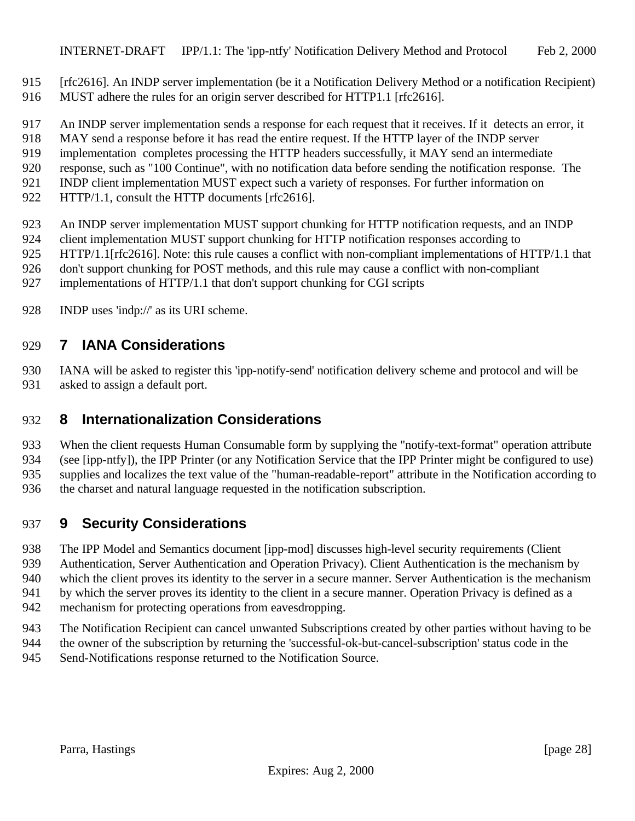- [rfc2616]. An INDP server implementation (be it a Notification Delivery Method or a notification Recipient)
- MUST adhere the rules for an origin server described for HTTP1.1 [rfc2616].
- An INDP server implementation sends a response for each request that it receives. If it detects an error, it
- MAY send a response before it has read the entire request. If the HTTP layer of the INDP server
- implementation completes processing the HTTP headers successfully, it MAY send an intermediate
- response, such as "100 Continue", with no notification data before sending the notification response. The
- INDP client implementation MUST expect such a variety of responses. For further information on
- 922 HTTP/1.1, consult the HTTP documents [rfc2616].
- An INDP server implementation MUST support chunking for HTTP notification requests, and an INDP
- 924 client implementation MUST support chunking for HTTP notification responses according to
- 925 HTTP/1.1[rfc2616]. Note: this rule causes a conflict with non-compliant implementations of HTTP/1.1 that
- don't support chunking for POST methods, and this rule may cause a conflict with non-compliant
- implementations of HTTP/1.1 that don't support chunking for CGI scripts
- INDP uses 'indp://' as its URI scheme.

# **7 IANA Considerations**

 IANA will be asked to register this 'ipp-notify-send' notification delivery scheme and protocol and will be asked to assign a default port.

# **8 Internationalization Considerations**

 When the client requests Human Consumable form by supplying the "notify-text-format" operation attribute (see [ipp-ntfy]), the IPP Printer (or any Notification Service that the IPP Printer might be configured to use) supplies and localizes the text value of the "human-readable-report" attribute in the Notification according to

the charset and natural language requested in the notification subscription.

# **9 Security Considerations**

- The IPP Model and Semantics document [ipp-mod] discusses high-level security requirements (Client
- Authentication, Server Authentication and Operation Privacy). Client Authentication is the mechanism by
- which the client proves its identity to the server in a secure manner. Server Authentication is the mechanism
- 941 by which the server proves its identity to the client in a secure manner. Operation Privacy is defined as a
- mechanism for protecting operations from eavesdropping.
- The Notification Recipient can cancel unwanted Subscriptions created by other parties without having to be
- the owner of the subscription by returning the 'successful-ok-but-cancel-subscription' status code in the Send-Notifications response returned to the Notification Source.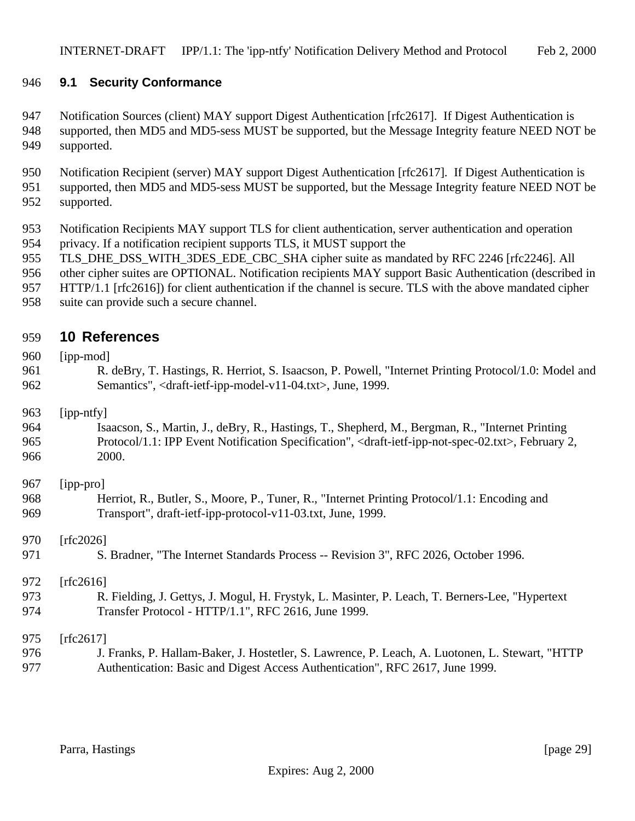### **9.1 Security Conformance**

947 Notification Sources (client) MAY support Digest Authentication [rfc2617]. If Digest Authentication is supported, then MD5 and MD5-sess MUST be supported, but the Message Integrity feature NEED NOT be supported.

 Notification Recipient (server) MAY support Digest Authentication [rfc2617]. If Digest Authentication is supported, then MD5 and MD5-sess MUST be supported, but the Message Integrity feature NEED NOT be supported.

- Notification Recipients MAY support TLS for client authentication, server authentication and operation privacy. If a notification recipient supports TLS, it MUST support the
- TLS\_DHE\_DSS\_WITH\_3DES\_EDE\_CBC\_SHA cipher suite as mandated by RFC 2246 [rfc2246]. All
- other cipher suites are OPTIONAL. Notification recipients MAY support Basic Authentication (described in
- HTTP/1.1 [rfc2616]) for client authentication if the channel is secure. TLS with the above mandated cipher
- suite can provide such a secure channel.

# **10 References**

960 [ipp-mod] 961 R. deBry, T. Hastings, R. Herriot, S. Isaacson, P. Powell, "Internet Printing Protocol/1.0: Model and Semantics", <draft-ietf-ipp-model-v11-04.txt>, June, 1999.

#### [ipp-ntfy]

#### Isaacson, S., Martin, J., deBry, R., Hastings, T., Shepherd, M., Bergman, R., "Internet Printing Protocol/1.1: IPP Event Notification Specification", <draft-ietf-ipp-not-spec-02.txt>, February 2, 2000.

### [ipp-pro] Herriot, R., Butler, S., Moore, P., Tuner, R., "Internet Printing Protocol/1.1: Encoding and Transport", draft-ietf-ipp-protocol-v11-03.txt, June, 1999.

[rfc2026]

971 S. Bradner, "The Internet Standards Process -- Revision 3", RFC 2026, October 1996.

#### 972 [rfc2616]

#### R. Fielding, J. Gettys, J. Mogul, H. Frystyk, L. Masinter, P. Leach, T. Berners-Lee, "Hypertext Transfer Protocol - HTTP/1.1", RFC 2616, June 1999.

[rfc2617]

 J. Franks, P. Hallam-Baker, J. Hostetler, S. Lawrence, P. Leach, A. Luotonen, L. Stewart, "HTTP Authentication: Basic and Digest Access Authentication", RFC 2617, June 1999.